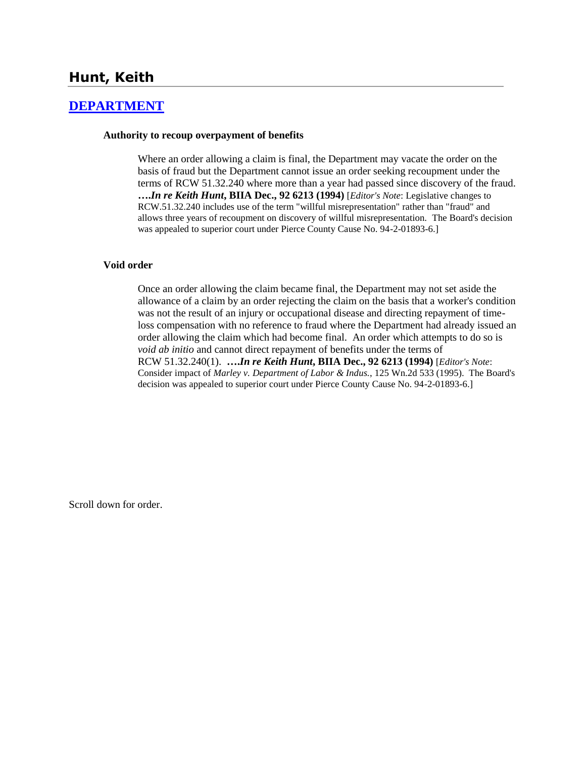## **Hunt, Keith**

### **[DEPARTMENT](http://www.biia.wa.gov/SDSubjectIndex.html#DEPARTMENT)**

#### **Authority to recoup overpayment of benefits**

Where an order allowing a claim is final, the Department may vacate the order on the basis of fraud but the Department cannot issue an order seeking recoupment under the terms of RCW 51.32.240 where more than a year had passed since discovery of the fraud. **….***In re Keith Hunt***, BIIA Dec., 92 6213 (1994)** [*Editor's Note*: Legislative changes to RCW.51.32.240 includes use of the term "willful misrepresentation" rather than "fraud" and allows three years of recoupment on discovery of willful misrepresentation. The Board's decision was appealed to superior court under Pierce County Cause No. 94-2-01893-6.]

#### **Void order**

Once an order allowing the claim became final, the Department may not set aside the allowance of a claim by an order rejecting the claim on the basis that a worker's condition was not the result of an injury or occupational disease and directing repayment of timeloss compensation with no reference to fraud where the Department had already issued an order allowing the claim which had become final. An order which attempts to do so is *void ab initio* and cannot direct repayment of benefits under the terms of RCW 51.32.240(1). **….***In re Keith Hunt***, BIIA Dec., 92 6213 (1994)** [*Editor's Note*: Consider impact of *Marley v. Department of Labor & Indus.*, 125 Wn.2d 533 (1995). The Board's decision was appealed to superior court under Pierce County Cause No. 94-2-01893-6.]

Scroll down for order.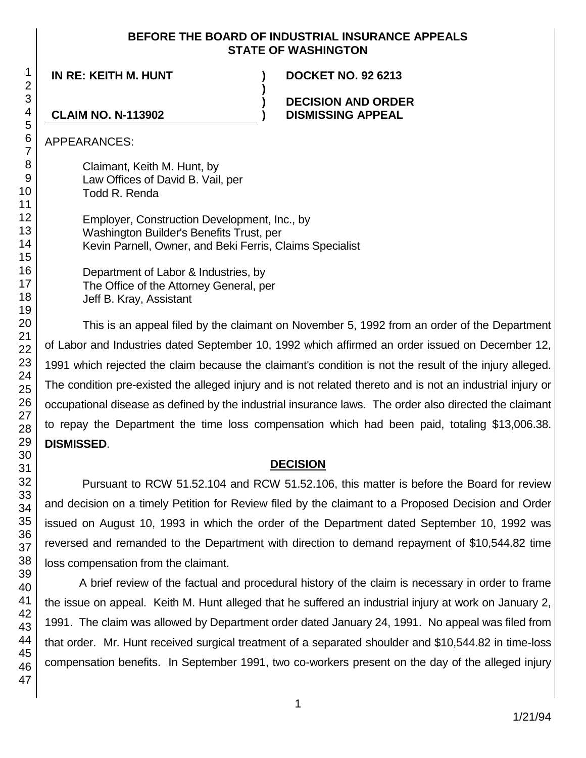## **BEFORE THE BOARD OF INDUSTRIAL INSURANCE APPEALS STATE OF WASHINGTON**

**)**

**) )**

**IN RE: KEITH M. HUNT ) DOCKET NO. 92 6213**

## **DECISION AND ORDER DISMISSING APPEAL**

**CLAIM NO. N-113902**

APPEARANCES:

Claimant, Keith M. Hunt, by Law Offices of David B. Vail, per Todd R. Renda

Employer, Construction Development, Inc., by Washington Builder's Benefits Trust, per Kevin Parnell, Owner, and Beki Ferris, Claims Specialist

Department of Labor & Industries, by The Office of the Attorney General, per Jeff B. Kray, Assistant

This is an appeal filed by the claimant on November 5, 1992 from an order of the Department of Labor and Industries dated September 10, 1992 which affirmed an order issued on December 12, 1991 which rejected the claim because the claimant's condition is not the result of the injury alleged. The condition pre-existed the alleged injury and is not related thereto and is not an industrial injury or occupational disease as defined by the industrial insurance laws. The order also directed the claimant to repay the Department the time loss compensation which had been paid, totaling \$13,006.38. **DISMISSED**.

# **DECISION**

Pursuant to RCW 51.52.104 and RCW 51.52.106, this matter is before the Board for review and decision on a timely Petition for Review filed by the claimant to a Proposed Decision and Order issued on August 10, 1993 in which the order of the Department dated September 10, 1992 was reversed and remanded to the Department with direction to demand repayment of \$10,544.82 time loss compensation from the claimant.

A brief review of the factual and procedural history of the claim is necessary in order to frame the issue on appeal. Keith M. Hunt alleged that he suffered an industrial injury at work on January 2, 1991. The claim was allowed by Department order dated January 24, 1991. No appeal was filed from that order. Mr. Hunt received surgical treatment of a separated shoulder and \$10,544.82 in time-loss compensation benefits. In September 1991, two co-workers present on the day of the alleged injury

1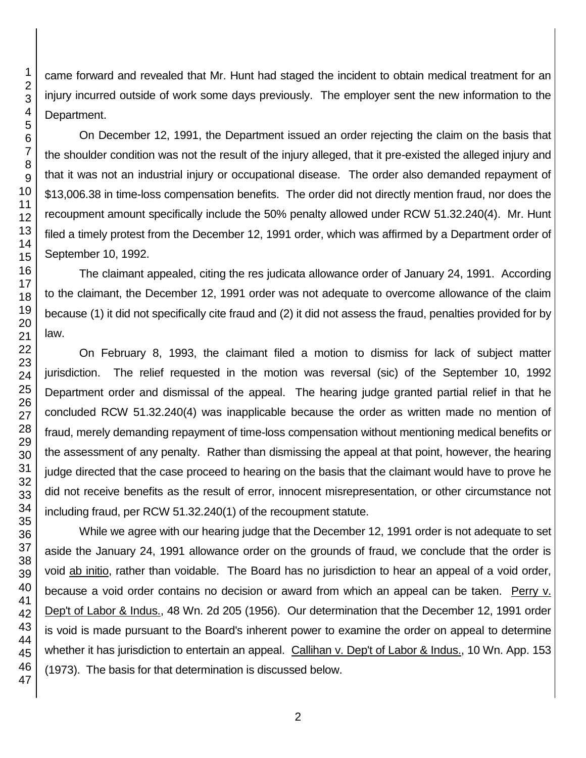came forward and revealed that Mr. Hunt had staged the incident to obtain medical treatment for an injury incurred outside of work some days previously. The employer sent the new information to the Department.

On December 12, 1991, the Department issued an order rejecting the claim on the basis that the shoulder condition was not the result of the injury alleged, that it pre-existed the alleged injury and that it was not an industrial injury or occupational disease. The order also demanded repayment of \$13,006.38 in time-loss compensation benefits. The order did not directly mention fraud, nor does the recoupment amount specifically include the 50% penalty allowed under RCW 51.32.240(4). Mr. Hunt filed a timely protest from the December 12, 1991 order, which was affirmed by a Department order of September 10, 1992.

The claimant appealed, citing the res judicata allowance order of January 24, 1991. According to the claimant, the December 12, 1991 order was not adequate to overcome allowance of the claim because (1) it did not specifically cite fraud and (2) it did not assess the fraud, penalties provided for by

On February 8, 1993, the claimant filed a motion to dismiss for lack of subject matter jurisdiction. The relief requested in the motion was reversal (sic) of the September 10, 1992 Department order and dismissal of the appeal. The hearing judge granted partial relief in that he concluded RCW 51.32.240(4) was inapplicable because the order as written made no mention of fraud, merely demanding repayment of time-loss compensation without mentioning medical benefits or the assessment of any penalty. Rather than dismissing the appeal at that point, however, the hearing judge directed that the case proceed to hearing on the basis that the claimant would have to prove he did not receive benefits as the result of error, innocent misrepresentation, or other circumstance not including fraud, per RCW 51.32.240(1) of the recoupment statute.

While we agree with our hearing judge that the December 12, 1991 order is not adequate to set aside the January 24, 1991 allowance order on the grounds of fraud, we conclude that the order is void ab initio, rather than voidable. The Board has no jurisdiction to hear an appeal of a void order, because a void order contains no decision or award from which an appeal can be taken. Perry v. Dep't of Labor & Indus., 48 Wn. 2d 205 (1956). Our determination that the December 12, 1991 order is void is made pursuant to the Board's inherent power to examine the order on appeal to determine whether it has jurisdiction to entertain an appeal. Callihan v. Dep't of Labor & Indus., 10 Wn. App. 153 (1973). The basis for that determination is discussed below.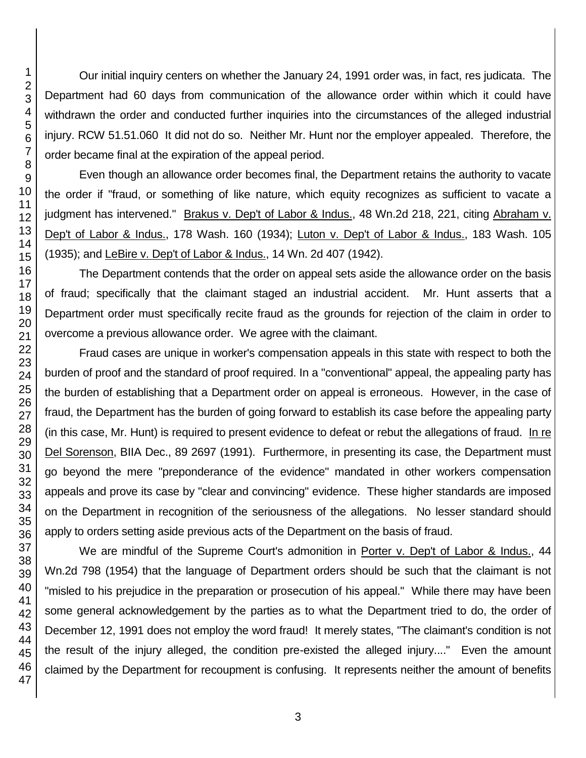Our initial inquiry centers on whether the January 24, 1991 order was, in fact, res judicata. The Department had 60 days from communication of the allowance order within which it could have withdrawn the order and conducted further inquiries into the circumstances of the alleged industrial injury. RCW 51.51.060 It did not do so. Neither Mr. Hunt nor the employer appealed. Therefore, the order became final at the expiration of the appeal period.

Even though an allowance order becomes final, the Department retains the authority to vacate the order if "fraud, or something of like nature, which equity recognizes as sufficient to vacate a judgment has intervened." Brakus v. Dep't of Labor & Indus., 48 Wn.2d 218, 221, citing Abraham v. Dep't of Labor & Indus., 178 Wash. 160 (1934); Luton v. Dep't of Labor & Indus., 183 Wash. 105 (1935); and LeBire v. Dep't of Labor & Indus., 14 Wn. 2d 407 (1942).

The Department contends that the order on appeal sets aside the allowance order on the basis of fraud; specifically that the claimant staged an industrial accident. Mr. Hunt asserts that a Department order must specifically recite fraud as the grounds for rejection of the claim in order to overcome a previous allowance order. We agree with the claimant.

Fraud cases are unique in worker's compensation appeals in this state with respect to both the burden of proof and the standard of proof required. In a "conventional" appeal, the appealing party has the burden of establishing that a Department order on appeal is erroneous. However, in the case of fraud, the Department has the burden of going forward to establish its case before the appealing party (in this case, Mr. Hunt) is required to present evidence to defeat or rebut the allegations of fraud. In re Del Sorenson, BIIA Dec., 89 2697 (1991). Furthermore, in presenting its case, the Department must go beyond the mere "preponderance of the evidence" mandated in other workers compensation appeals and prove its case by "clear and convincing" evidence. These higher standards are imposed on the Department in recognition of the seriousness of the allegations. No lesser standard should apply to orders setting aside previous acts of the Department on the basis of fraud.

We are mindful of the Supreme Court's admonition in Porter v. Dep't of Labor & Indus., 44 Wn.2d 798 (1954) that the language of Department orders should be such that the claimant is not "misled to his prejudice in the preparation or prosecution of his appeal." While there may have been some general acknowledgement by the parties as to what the Department tried to do, the order of December 12, 1991 does not employ the word fraud! It merely states, "The claimant's condition is not the result of the injury alleged, the condition pre-existed the alleged injury...." Even the amount claimed by the Department for recoupment is confusing. It represents neither the amount of benefits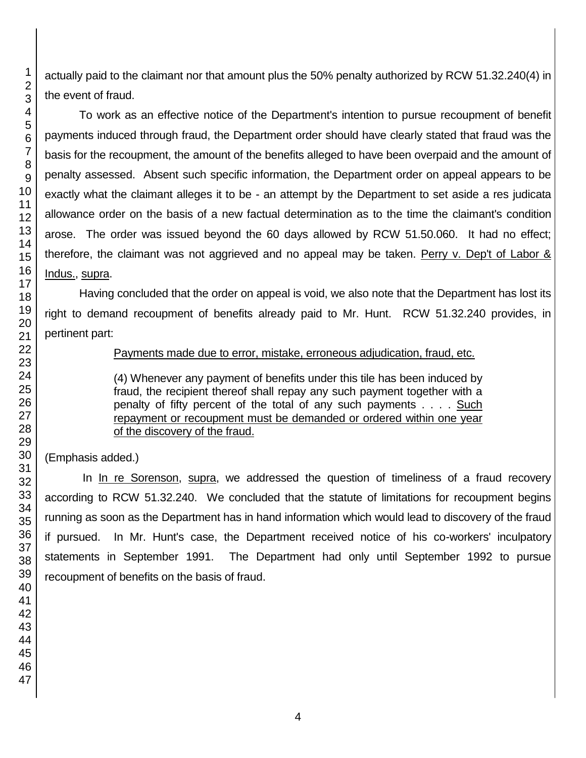actually paid to the claimant nor that amount plus the 50% penalty authorized by RCW 51.32.240(4) in the event of fraud.

To work as an effective notice of the Department's intention to pursue recoupment of benefit payments induced through fraud, the Department order should have clearly stated that fraud was the basis for the recoupment, the amount of the benefits alleged to have been overpaid and the amount of penalty assessed. Absent such specific information, the Department order on appeal appears to be exactly what the claimant alleges it to be - an attempt by the Department to set aside a res judicata allowance order on the basis of a new factual determination as to the time the claimant's condition arose. The order was issued beyond the 60 days allowed by RCW 51.50.060. It had no effect; therefore, the claimant was not aggrieved and no appeal may be taken. Perry v. Dep't of Labor & Indus., supra.

Having concluded that the order on appeal is void, we also note that the Department has lost its right to demand recoupment of benefits already paid to Mr. Hunt. RCW 51.32.240 provides, in pertinent part:

## Payments made due to error, mistake, erroneous adjudication, fraud, etc.

(4) Whenever any payment of benefits under this tile has been induced by fraud, the recipient thereof shall repay any such payment together with a penalty of fifty percent of the total of any such payments . . . . Such repayment or recoupment must be demanded or ordered within one year of the discovery of the fraud.

(Emphasis added.)

In In re Sorenson, supra, we addressed the question of timeliness of a fraud recovery according to RCW 51.32.240. We concluded that the statute of limitations for recoupment begins running as soon as the Department has in hand information which would lead to discovery of the fraud if pursued. In Mr. Hunt's case, the Department received notice of his co-workers' inculpatory statements in September 1991. The Department had only until September 1992 to pursue recoupment of benefits on the basis of fraud.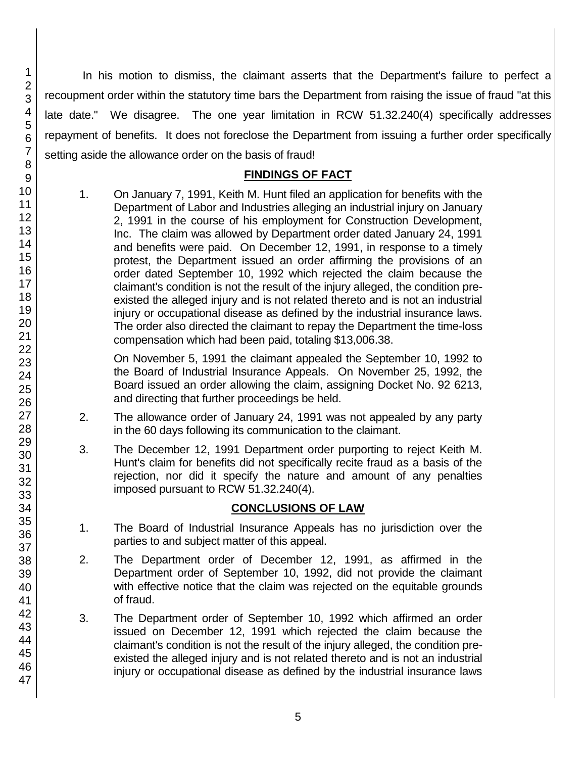45 46 47

In his motion to dismiss, the claimant asserts that the Department's failure to perfect a recoupment order within the statutory time bars the Department from raising the issue of fraud "at this late date." We disagree. The one year limitation in RCW 51.32.240(4) specifically addresses repayment of benefits. It does not foreclose the Department from issuing a further order specifically setting aside the allowance order on the basis of fraud!

## **FINDINGS OF FACT**

1. On January 7, 1991, Keith M. Hunt filed an application for benefits with the Department of Labor and Industries alleging an industrial injury on January 2, 1991 in the course of his employment for Construction Development, Inc. The claim was allowed by Department order dated January 24, 1991 and benefits were paid. On December 12, 1991, in response to a timely protest, the Department issued an order affirming the provisions of an order dated September 10, 1992 which rejected the claim because the claimant's condition is not the result of the injury alleged, the condition preexisted the alleged injury and is not related thereto and is not an industrial injury or occupational disease as defined by the industrial insurance laws. The order also directed the claimant to repay the Department the time-loss compensation which had been paid, totaling \$13,006.38.

On November 5, 1991 the claimant appealed the September 10, 1992 to the Board of Industrial Insurance Appeals. On November 25, 1992, the Board issued an order allowing the claim, assigning Docket No. 92 6213, and directing that further proceedings be held.

- 2. The allowance order of January 24, 1991 was not appealed by any party in the 60 days following its communication to the claimant.
- 3. The December 12, 1991 Department order purporting to reject Keith M. Hunt's claim for benefits did not specifically recite fraud as a basis of the rejection, nor did it specify the nature and amount of any penalties imposed pursuant to RCW 51.32.240(4).

# **CONCLUSIONS OF LAW**

- 1. The Board of Industrial Insurance Appeals has no jurisdiction over the parties to and subject matter of this appeal.
- 2. The Department order of December 12, 1991, as affirmed in the Department order of September 10, 1992, did not provide the claimant with effective notice that the claim was rejected on the equitable grounds of fraud.
- 3. The Department order of September 10, 1992 which affirmed an order issued on December 12, 1991 which rejected the claim because the claimant's condition is not the result of the injury alleged, the condition preexisted the alleged injury and is not related thereto and is not an industrial injury or occupational disease as defined by the industrial insurance laws